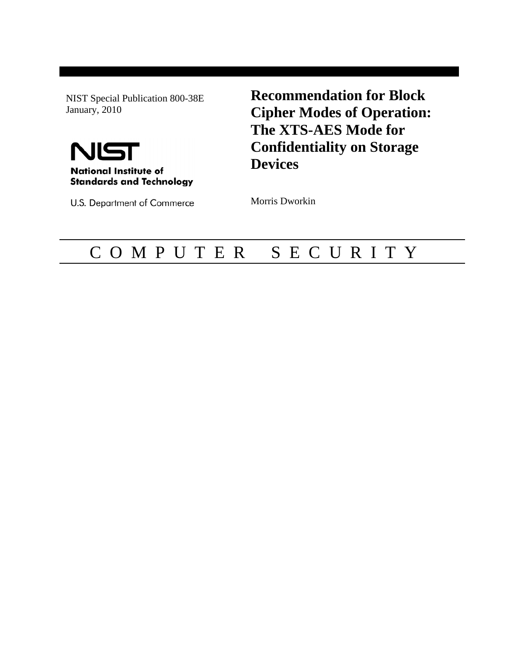NIST Special Publication 800-38E January, 2010



U.S. Department of Commerce

**Recommendation for Block Cipher Modes of Operation: The XTS-AES Mode for Confidentiality on Storage Devices**

Morris Dworkin

## C O M P U T E R S E C U R I T Y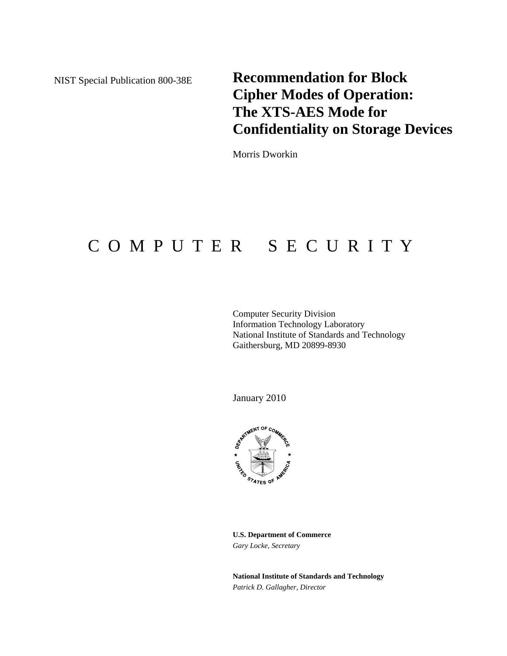NIST Special Publication 800-38E

**Recommendation for Block Cipher Modes of Operation: The XTS-AES Mode for Confidentiality on Storage Devices**

Morris Dworkin

# C O M P U T E R S E C U R I T Y

Computer Security Division Information Technology Laboratory National Institute of Standards and Technology Gaithersburg, MD 20899-8930

January 2010



**U.S. Department of Commerce**  *Gary Locke, Secretary* 

**National Institute of Standards and Technology**  *Patrick D. Gallagher, Director*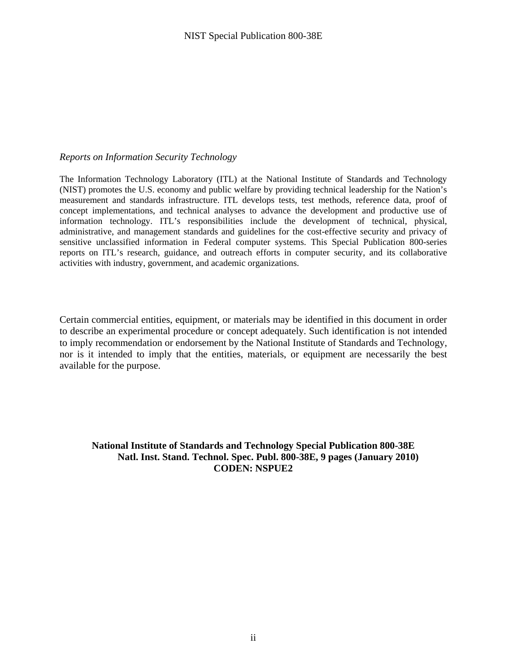#### *Reports on Information Security Technology*

The Information Technology Laboratory (ITL) at the National Institute of Standards and Technology (NIST) promotes the U.S. economy and public welfare by providing technical leadership for the Nation's measurement and standards infrastructure. ITL develops tests, test methods, reference data, proof of concept implementations, and technical analyses to advance the development and productive use of information technology. ITL's responsibilities include the development of technical, physical, administrative, and management standards and guidelines for the cost-effective security and privacy of sensitive unclassified information in Federal computer systems. This Special Publication 800-series reports on ITL's research, guidance, and outreach efforts in computer security, and its collaborative activities with industry, government, and academic organizations.

Certain commercial entities, equipment, or materials may be identified in this document in order to describe an experimental procedure or concept adequately. Such identification is not intended to imply recommendation or endorsement by the National Institute of Standards and Technology, nor is it intended to imply that the entities, materials, or equipment are necessarily the best available for the purpose.

**National Institute of Standards and Technology Special Publication 800-38E Natl. Inst. Stand. Technol. Spec. Publ. 800-38E, 9 pages (January 2010) CODEN: NSPUE2**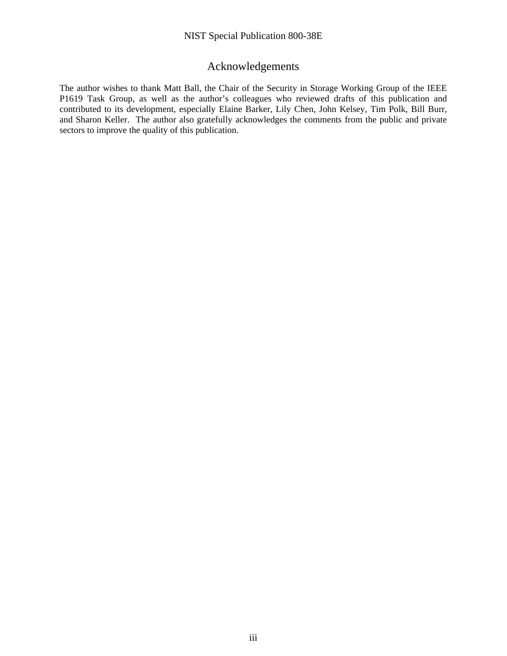#### Acknowledgements

The author wishes to thank Matt Ball, the Chair of the Security in Storage Working Group of the IEEE P1619 Task Group, as well as the author's colleagues who reviewed drafts of this publication and contributed to its development, especially Elaine Barker, Lily Chen, John Kelsey, Tim Polk, Bill Burr, and Sharon Keller. The author also gratefully acknowledges the comments from the public and private sectors to improve the quality of this publication.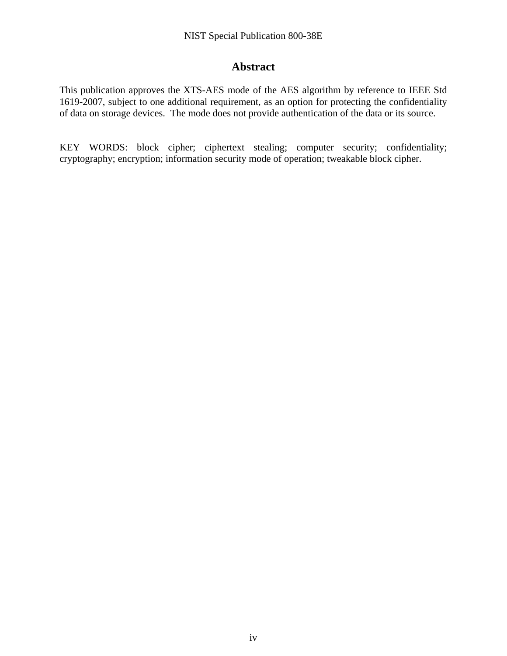#### **Abstract**

This publication approves the XTS-AES mode of the AES algorithm by reference to IEEE Std 1619-2007, subject to one additional requirement, as an option for protecting the confidentiality of data on storage devices. The mode does not provide authentication of the data or its source.

KEY WORDS: block cipher; ciphertext stealing; computer security; confidentiality; cryptography; encryption; information security mode of operation; tweakable block cipher.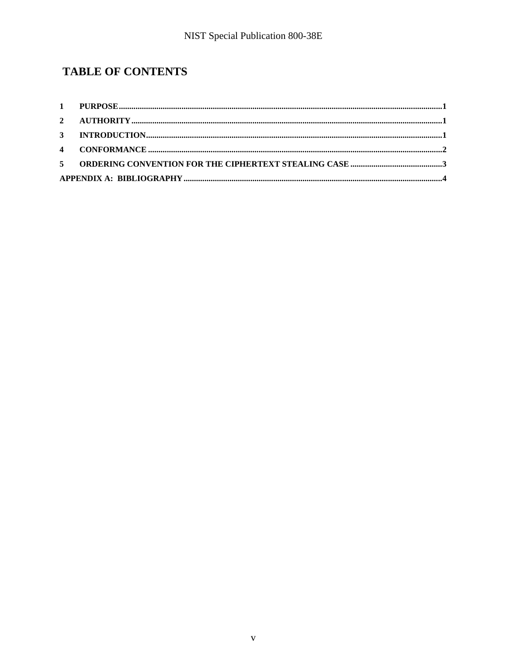## **TABLE OF CONTENTS**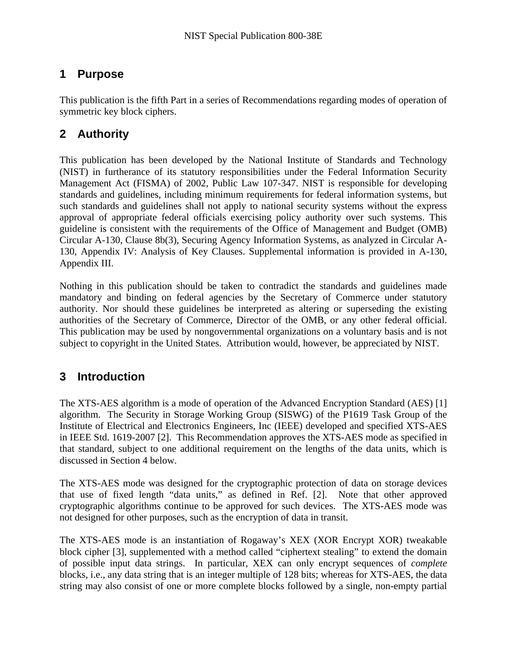#### <span id="page-8-0"></span>**1 Purpose**

This publication is the fifth Part in a series of Recommendations regarding modes of operation of symmetric key block ciphers.

### **2 Authority**

This publication has been developed by the National Institute of Standards and Technology (NIST) in furtherance of its statutory responsibilities under the Federal Information Security Management Act (FISMA) of 2002, Public Law 107-347. NIST is responsible for developing standards and guidelines, including minimum requirements for federal information systems, but such standards and guidelines shall not apply to national security systems without the express approval of appropriate federal officials exercising policy authority over such systems. This guideline is consistent with the requirements of the Office of Management and Budget (OMB) Circular A-130, Clause 8b(3), Securing Agency Information Systems, as analyzed in Circular A-130, Appendix IV: Analysis of Key Clauses. Supplemental information is provided in A-130, Appendix III.

Nothing in this publication should be taken to contradict the standards and guidelines made mandatory and binding on federal agencies by the Secretary of Commerce under statutory authority. Nor should these guidelines be interpreted as altering or superseding the existing authorities of the Secretary of Commerce, Director of the OMB, or any other federal official. This publication may be used by nongovernmental organizations on a voluntary basis and is not subject to copyright in the United States. Attribution would, however, be appreciated by NIST.

## **3 Introduction**

The XTS-AES algorithm is a mode of operation of the Advanced Encryption Standard (AES) [\[1\]](#page-11-1) algorithm. The Security in Storage Working Group (SISWG) of the P1619 Task Group of the Institute of Electrical and Electronics Engineers, Inc (IEEE) developed and specified XTS-AES in IEEE Std. 1619-2007 [\[2\]](#page-11-2). This Recommendation approves the XTS-AES mode as specified in that standard, subject to one additional requirement on the lengths of the data units, which is discussed in Section [4](#page-9-1) below.

The XTS-AES mode was designed for the cryptographic protection of data on storage devices that use of fixed length "data units," as defined in Ref. [\[2\]](#page-11-2). Note that other approved cryptographic algorithms continue to be approved for such devices. The XTS-AES mode was not designed for other purposes, such as the encryption of data in transit.

The XTS-AES mode is an instantiation of Rogaway's XEX (XOR Encrypt XOR) tweakable block cipher [\[3\]](#page-11-3), supplemented with a method called "ciphertext stealing" to extend the domain of possible input data strings. In particular, XEX can only encrypt sequences of *complete* blocks, i.e., any data string that is an integer multiple of 128 bits; whereas for XTS-AES, the data string may also consist of one or more complete blocks followed by a single, non-empty partial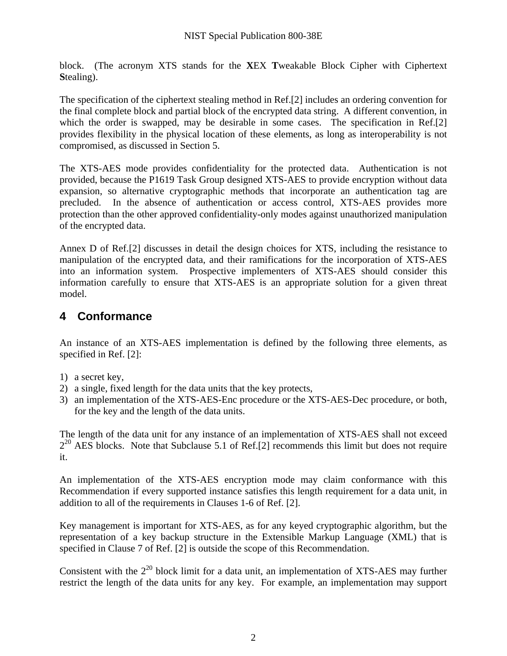<span id="page-9-0"></span>block. (The acronym XTS stands for the **X**EX **T**weakable Block Cipher with Ciphertext **S**tealing).

The specification of the ciphertext stealing method in Ref.[\[2\]](#page-11-2) includes an ordering convention for the final complete block and partial block of the encrypted data string. A different convention, in which the order is swapped, may be desirable in some cases. The specification in Ref[.\[2\]](#page-11-2) provides flexibility in the physical location of these elements, as long as interoperability is not compromised, as discussed in Section [5.](#page-10-1)

The XTS-AES mode provides confidentiality for the protected data. Authentication is not provided, because the P1619 Task Group designed XTS-AES to provide encryption without data expansion, so alternative cryptographic methods that incorporate an authentication tag are precluded. In the absence of authentication or access control, XTS-AES provides more protection than the other approved confidentiality-only modes against unauthorized manipulation of the encrypted data.

Annex D of Ref.[\[2\]](#page-11-2) discusses in detail the design choices for XTS, including the resistance to manipulation of the encrypted data, and their ramifications for the incorporation of XTS-AES into an information system. Prospective implementers of XTS-AES should consider this information carefully to ensure that XTS-AES is an appropriate solution for a given threat model.

#### <span id="page-9-1"></span>**4 Conformance**

An instance of an XTS-AES implementation is defined by the following three elements, as specified in Ref. [\[2\]:](#page-11-2)

- 1) a secret key,
- 2) a single, fixed length for the data units that the key protects,
- 3) an implementation of the XTS-AES-Enc procedure or the XTS-AES-Dec procedure, or both, for the key and the length of the data units.

The length of the data unit for any instance of an implementation of XTS-AES shall not exceed  $2^{20}$  AES blocks. Note that Subclause 5.1 of Ref.[\[2\]](#page-11-2) recommends this limit but does not require it.

An implementation of the XTS-AES encryption mode may claim conformance with this Recommendation if every supported instance satisfies this length requirement for a data unit, in addition to all of the requirements in Clauses 1-6 of Ref. [\[2\].](#page-11-2)

Key management is important for XTS-AES, as for any keyed cryptographic algorithm, but the representation of a key backup structure in the Extensible Markup Language (XML) that is specified in Clause 7 of Ref. [\[2\]](#page-11-2) is outside the scope of this Recommendation.

Consistent with the  $2^{20}$  block limit for a data unit, an implementation of XTS-AES may further restrict the length of the data units for any key. For example, an implementation may support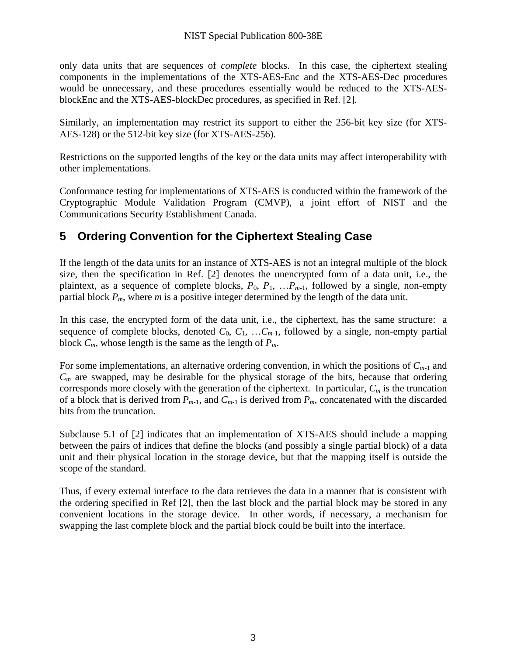<span id="page-10-0"></span>only data units that are sequences of *complete* blocks. In this case, the ciphertext stealing components in the implementations of the XTS-AES-Enc and the XTS-AES-Dec procedures would be unnecessary, and these procedures essentially would be reduced to the XTS-AESblockEnc and the XTS-AES-blockDec procedures, as specified in Ref. [\[2\]](#page-11-2).

Similarly, an implementation may restrict its support to either the 256-bit key size (for XTS-AES-128) or the 512-bit key size (for XTS-AES-256).

Restrictions on the supported lengths of the key or the data units may affect interoperability with other implementations.

Conformance testing for implementations of XTS-AES is conducted within the framework of the Cryptographic Module Validation Program (CMVP), a joint effort of NIST and the Communications Security Establishment Canada.

### <span id="page-10-1"></span>**5 Ordering Convention for the Ciphertext Stealing Case**

If the length of the data units for an instance of XTS-AES is not an integral multiple of the block size, then the specification in Ref. [\[2\]](#page-11-2) denotes the unencrypted form of a data unit, i.e., the plaintext, as a sequence of complete blocks,  $P_0$ ,  $P_1$ , ... $P_{m-1}$ , followed by a single, non-empty partial block  $P_m$ , where *m* is a positive integer determined by the length of the data unit.

In this case, the encrypted form of the data unit, i.e., the ciphertext, has the same structure: a sequence of complete blocks, denoted  $C_0$ ,  $C_1$ , ...  $C_{m-1}$ , followed by a single, non-empty partial block *Cm*, whose length is the same as the length of *Pm*.

For some implementations, an alternative ordering convention, in which the positions of  $C_{m-1}$  and *Cm* are swapped, may be desirable for the physical storage of the bits, because that ordering corresponds more closely with the generation of the ciphertext. In particular, *Cm* is the truncation of a block that is derived from  $P_{m-1}$ , and  $C_{m-1}$  is derived from  $P_m$ , concatenated with the discarded bits from the truncation.

Subclause 5.1 of [\[2\]](#page-11-2) indicates that an implementation of XTS-AES should include a mapping between the pairs of indices that define the blocks (and possibly a single partial block) of a data unit and their physical location in the storage device, but that the mapping itself is outside the scope of the standard.

Thus, if every external interface to the data retrieves the data in a manner that is consistent with the ordering specified in Ref [\[2\],](#page-11-2) then the last block and the partial block may be stored in any convenient locations in the storage device. In other words, if necessary, a mechanism for swapping the last complete block and the partial block could be built into the interface.